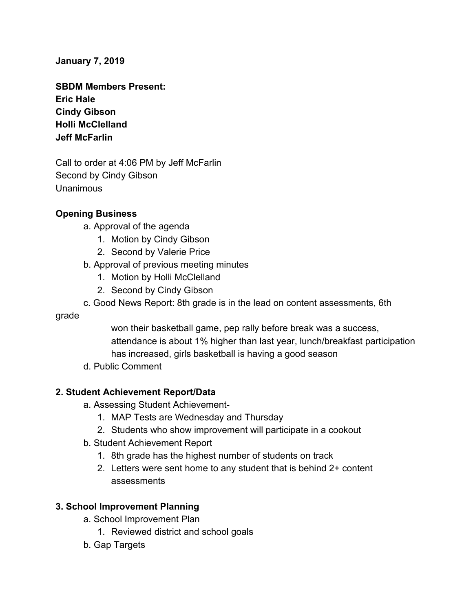### **January 7, 2019**

**SBDM Members Present: Eric Hale Cindy Gibson Holli McClelland Jeff McFarlin**

Call to order at 4:06 PM by Jeff McFarlin Second by Cindy Gibson Unanimous

### **Opening Business**

- a. Approval of the agenda
	- 1. Motion by Cindy Gibson
	- 2. Second by Valerie Price
- b. Approval of previous meeting minutes
	- 1. Motion by Holli McClelland
	- 2. Second by Cindy Gibson
- c. Good News Report: 8th grade is in the lead on content assessments, 6th

#### grade

won their basketball game, pep rally before break was a success, attendance is about 1% higher than last year, lunch/breakfast participation has increased, girls basketball is having a good season

d. Public Comment

# **2. Student Achievement Report/Data**

- a. Assessing Student Achievement-
	- 1. MAP Tests are Wednesday and Thursday
	- 2. Students who show improvement will participate in a cookout
- b. Student Achievement Report
	- 1. 8th grade has the highest number of students on track
	- 2. Letters were sent home to any student that is behind 2+ content assessments

# **3. School Improvement Planning**

- a. School Improvement Plan
	- 1. Reviewed district and school goals
- b. Gap Targets